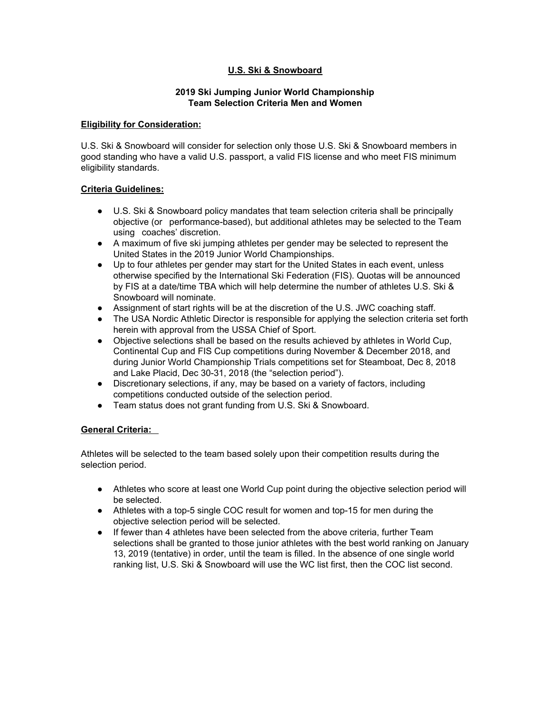## **U.S. Ski & Snowboard**

### **2019 Ski Jumping Junior World Championship Team Selection Criteria Men and Women**

#### **Eligibility for Consideration:**

U.S. Ski & Snowboard will consider for selection only those U.S. Ski & Snowboard members in good standing who have a valid U.S. passport, a valid FIS license and who meet FIS minimum eligibility standards.

#### **Criteria Guidelines:**

- U.S. Ski & Snowboard policy mandates that team selection criteria shall be principally objective (or performance-based), but additional athletes may be selected to the Team using coaches' discretion.
- A maximum of five ski jumping athletes per gender may be selected to represent the United States in the 2019 Junior World Championships.
- Up to four athletes per gender may start for the United States in each event, unless otherwise specified by the International Ski Federation (FIS). Quotas will be announced by FIS at a date/time TBA which will help determine the number of athletes U.S. Ski & Snowboard will nominate.
- Assignment of start rights will be at the discretion of the U.S. JWC coaching staff.
- The USA Nordic Athletic Director is responsible for applying the selection criteria set forth herein with approval from the USSA Chief of Sport.
- Objective selections shall be based on the results achieved by athletes in World Cup, Continental Cup and FIS Cup competitions during November & December 2018, and during Junior World Championship Trials competitions set for Steamboat, Dec 8, 2018 and Lake Placid, Dec 30-31, 2018 (the "selection period").
- Discretionary selections, if any, may be based on a variety of factors, including competitions conducted outside of the selection period.
- Team status does not grant funding from U.S. Ski & Snowboard.

#### **General Criteria:**

Athletes will be selected to the team based solely upon their competition results during the selection period.

- Athletes who score at least one World Cup point during the objective selection period will be selected.
- Athletes with a top-5 single COC result for women and top-15 for men during the objective selection period will be selected.
- If fewer than 4 athletes have been selected from the above criteria, further Team selections shall be granted to those junior athletes with the best world ranking on January 13, 2019 (tentative) in order, until the team is filled. In the absence of one single world ranking list, U.S. Ski & Snowboard will use the WC list first, then the COC list second.